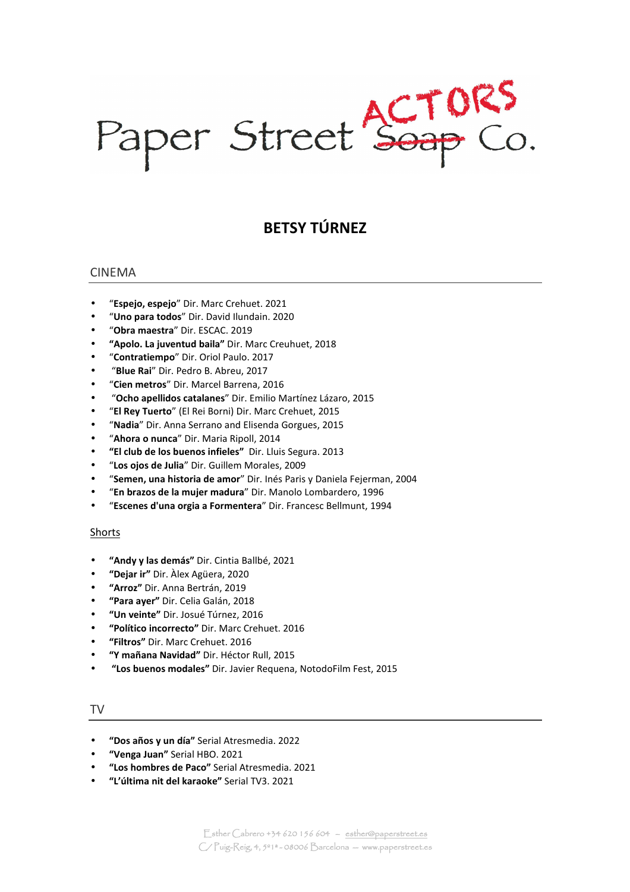Paper Street Soap Co.

# **BETSY TÚRNEZ**

## CINEMA

- "**Espejo, espejo**" Dir. Marc Crehuet. 2021
- "**Uno para todos**" Dir. David Ilundain. 2020
- "**Obra maestra**" Dir. ESCAC. 2019
- **"Apolo. La juventud baila"** Dir. Marc Creuhuet, 2018
- "**Contratiempo**" Dir. Oriol Paulo. 2017
- "**Blue Rai**" Dir. Pedro B. Abreu, 2017
- "**Cien metros**" Dir. Marcel Barrena, 2016
- "**Ocho apellidos catalanes**" Dir. Emilio Martínez Lázaro, 2015
- "**El Rey Tuerto**" (El Rei Borni) Dir. Marc Crehuet, 2015
- "**Nadia**" Dir. Anna Serrano and Elisenda Gorgues, 2015
- "**Ahora o nunca**" Dir. Maria Ripoll, 2014
- **"El club de los buenos infieles"** Dir. Lluis Segura. 2013
- "**Los ojos de Julia**" Dir. Guillem Morales, 2009
- "**Semen, una historia de amor**" Dir. Inés Paris y Daniela Fejerman, 2004
- "**En brazos de la mujer madura**" Dir. Manolo Lombardero, 1996
- "**Escenes d'una orgia a Formentera**" Dir. Francesc Bellmunt, 1994

#### Shorts

- **"Andy y las demás"** Dir. Cintia Ballbé, 2021
- **"Dejar ir"** Dir. Àlex Agüera, 2020
- **"Arroz"** Dir. Anna Bertrán, 2019
- **"Para ayer"** Dir. Celia Galán, 2018
- **"Un veinte"** Dir. Josué Túrnez, 2016
- **"Político incorrecto"** Dir. Marc Crehuet. 2016
- **"Filtros"** Dir. Marc Crehuet. 2016
- **"Y mañana Navidad"** Dir. Héctor Rull, 2015
- **"Los buenos modales"** Dir. Javier Requena, NotodoFilm Fest, 2015

#### TV

- **"Dos años y un día"** Serial Atresmedia. 2022
- **"Venga Juan"** Serial HBO. 2021
- **"Los hombres de Paco"** Serial Atresmedia. 2021
- **"L'última nit del karaoke"** Serial TV3. 2021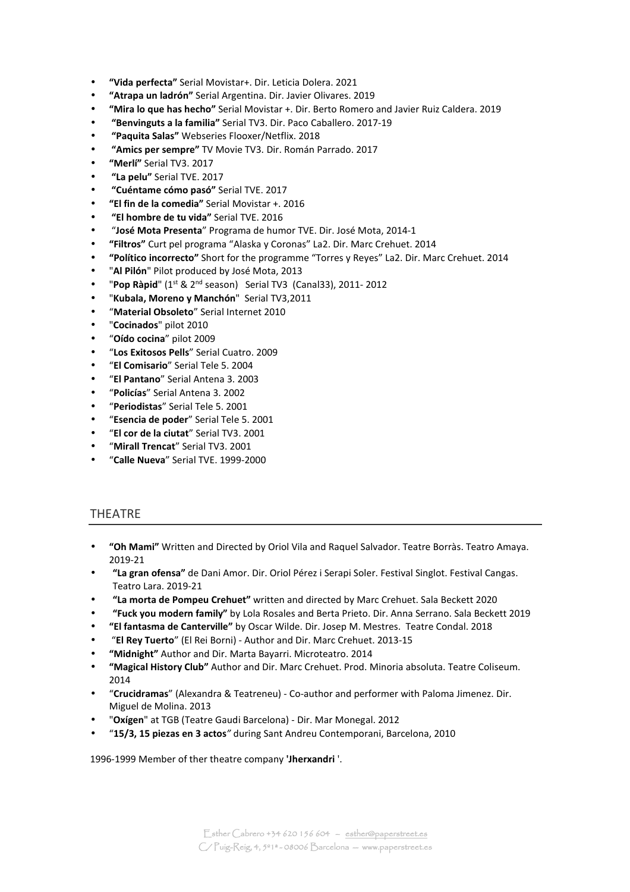- **"Vida perfecta"** Serial Movistar+. Dir. Leticia Dolera. 2021
- **"Atrapa un ladrón"** Serial Argentina. Dir. Javier Olivares. 2019
- **"Mira lo que has hecho"** Serial Movistar +. Dir. Berto Romero and Javier Ruiz Caldera. 2019
- • **"Benvinguts a la familia"** Serial TV3. Dir. Paco Caballero. 2017-19
- • **"Paquita Salas"** Webseries Flooxer/Netflix. 2018
- • **"Amics per sempre"** TV Movie TV3. Dir. Román Parrado. 2017
- **"Merlí"** Serial TV3. 2017
- • **"La pelu"** Serial TVE. 2017
- • **"Cuéntame cómo pasó"** Serial TVE. 2017
- **"El fin de la comedia"** Serial Movistar +. 2016
- • **"El hombre de tu vida"** Serial TVE. 2016
- "**José Mota Presenta**" Programa de humor TVE. Dir. José Mota, 2014-1
- **"Filtros"** Curt pel programa "Alaska y Coronas" La2. Dir. Marc Crehuet. 2014
- **"Político incorrecto"** Short for the programme "Torres y Reyes" La2. Dir. Marc Crehuet. 2014
- "**Al Pilón**" Pilot produced by José Mota, 2013
- "**Pop Ràpid**" (1st & 2nd season) Serial TV3 (Canal33), 2011- 2012
- "**Kubala, Moreno y Manchón**" Serial TV3,2011
- "**Material Obsoleto**" Serial Internet 2010
- "**Cocinados**" pilot 2010
- "**Oído cocina**" pilot 2009
- "**Los Exitosos Pells**" Serial Cuatro. 2009
- "**El Comisario**" Serial Tele 5. 2004
- "**El Pantano**" Serial Antena 3. 2003
- "**Policías**" Serial Antena 3. 2002
- "**Periodistas**" Serial Tele 5. 2001
- "**Esencia de poder**" Serial Tele 5. 2001
- "**El cor de la ciutat**" Serial TV3. 2001
- "**Mirall Trencat**" Serial TV3. 2001
- "**Calle Nueva**" Serial TVE. 1999-2000

#### THEATRE

- **"Oh Mami"** Written and Directed by Oriol Vila and Raquel Salvador. Teatre Borràs. Teatro Amaya. 2019-21
- **"La gran ofensa"** de Dani Amor. Dir. Oriol Pérez i Serapi Soler. Festival Singlot. Festival Cangas. Teatro Lara. 2019-21
- **"La morta de Pompeu Crehuet"** written and directed by Marc Crehuet. Sala Beckett 2020
- **"Fuck you modern family"** by Lola Rosales and Berta Prieto. Dir. Anna Serrano. Sala Beckett 2019
- **"El fantasma de Canterville"** by Oscar Wilde. Dir. Josep M. Mestres. Teatre Condal. 2018
- "**El Rey Tuerto**" (El Rei Borni) Author and Dir. Marc Crehuet. 2013-15
- **"Midnight"** Author and Dir. Marta Bayarri. Microteatro. 2014
- **"Magical History Club"** Author and Dir. Marc Crehuet. Prod. Minoria absoluta. Teatre Coliseum. 2014
- "**Crucidramas**" (Alexandra & Teatreneu) Co-author and performer with Paloma Jimenez. Dir. Miguel de Molina. 2013
- "**Oxígen**" at TGB (Teatre Gaudi Barcelona) Dir. Mar Monegal. 2012
- "**15/3, 15 piezas en 3 actos***"* during Sant Andreu Contemporani, Barcelona, 2010

1996-1999 Member of ther theatre company **'Jherxandri** '.